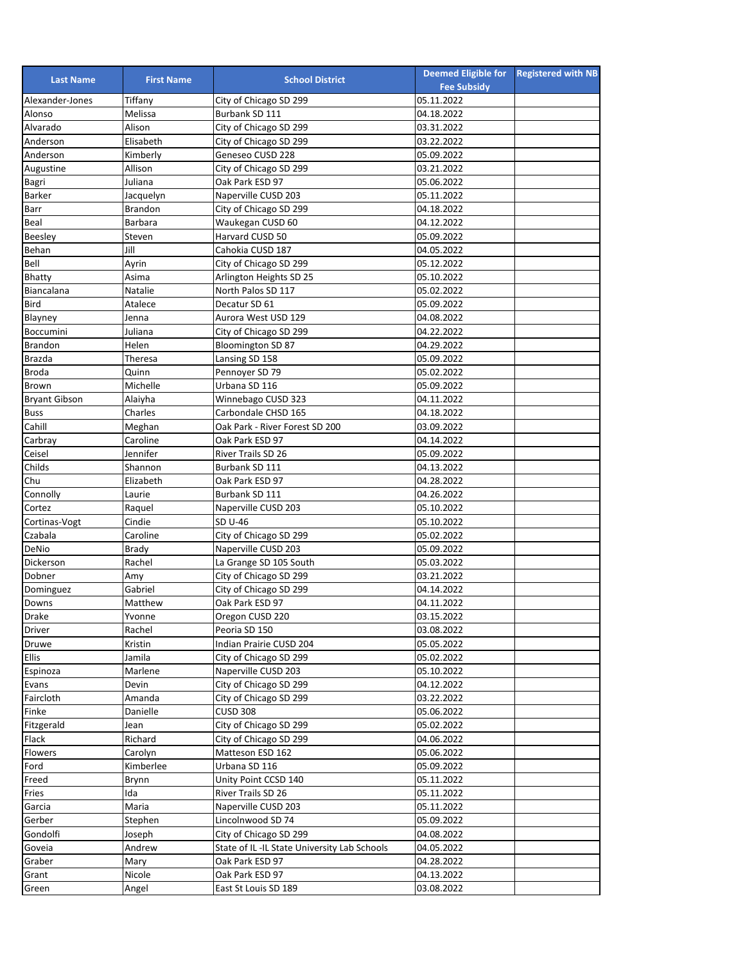| <b>Fee Subsidy</b><br>Tiffany<br>City of Chicago SD 299<br>05.11.2022<br>Alexander-Jones<br>Melissa<br>Burbank SD 111<br>04.18.2022<br>Alonso<br>Alvarado<br>Alison<br>City of Chicago SD 299<br>03.31.2022<br>Anderson<br>City of Chicago SD 299<br>03.22.2022<br>Elisabeth<br>Anderson<br>Geneseo CUSD 228<br>Kimberly<br>05.09.2022<br>City of Chicago SD 299<br>03.21.2022<br>Augustine<br>Allison<br>Juliana<br>Oak Park ESD 97<br>05.06.2022<br>Bagri<br>Barker<br>Naperville CUSD 203<br>05.11.2022<br>Jacquelyn<br>Barr<br>City of Chicago SD 299<br>04.18.2022<br><b>Brandon</b><br>Waukegan CUSD 60<br>Beal<br>Barbara<br>04.12.2022<br>Beesley<br>Harvard CUSD 50<br>05.09.2022<br>Steven<br>Behan<br>Cahokia CUSD 187<br>Jill<br>04.05.2022<br>Bell<br>City of Chicago SD 299<br>05.12.2022<br>Ayrin<br>Bhatty<br>Asima<br>05.10.2022<br>Arlington Heights SD 25<br>Biancalana<br>North Palos SD 117<br>05.02.2022<br>Natalie<br>Bird<br>Decatur SD 61<br>05.09.2022<br>Atalece<br>Blayney<br>Aurora West USD 129<br>04.08.2022<br>Jenna<br><b>Boccumini</b><br>04.22.2022<br>Juliana<br>City of Chicago SD 299<br><b>Brandon</b><br>Helen<br>Bloomington SD 87<br>04.29.2022<br>Brazda<br>Lansing SD 158<br>05.09.2022<br>Theresa<br><b>Broda</b><br>Pennoyer SD 79<br>05.02.2022<br>Quinn<br>Urbana SD 116<br>05.09.2022<br><b>Brown</b><br>Michelle<br><b>Bryant Gibson</b><br>Alaiyha<br>Winnebago CUSD 323<br>04.11.2022<br><b>Buss</b><br>Charles<br>Carbondale CHSD 165<br>04.18.2022<br>Cahill<br>Oak Park - River Forest SD 200<br>03.09.2022<br>Meghan<br>Carbray<br>Caroline<br>Oak Park ESD 97<br>04.14.2022<br>Jennifer<br>Ceisel<br>River Trails SD 26<br>05.09.2022<br>Childs<br>Shannon<br>Burbank SD 111<br>04.13.2022<br>Oak Park ESD 97<br>04.28.2022<br>Chu<br>Elizabeth<br>Connolly<br>Laurie<br>Burbank SD 111<br>04.26.2022<br>Naperville CUSD 203<br>05.10.2022<br>Cortez<br>Raquel<br>SD U-46<br>Cortinas-Vogt<br>Cindie<br>05.10.2022<br>Czabala<br>05.02.2022<br>Caroline<br>City of Chicago SD 299<br>Naperville CUSD 203<br>DeNio<br><b>Brady</b><br>05.09.2022<br>Dickerson<br>Rachel<br>La Grange SD 105 South<br>05.03.2022<br>City of Chicago SD 299<br>03.21.2022<br>Dobner<br>Amy<br>City of Chicago SD 299<br>Dominguez<br>Gabriel<br>04.14.2022<br>Oak Park ESD 97<br>04.11.2022<br>Downs<br>Matthew<br>Oregon CUSD 220<br>03.15.2022<br>Drake<br>Yvonne<br>Peoria SD 150<br>03.08.2022<br>Driver<br>Rachel<br>Indian Prairie CUSD 204<br>Druwe<br>Kristin<br>05.05.2022<br>City of Chicago SD 299<br>05.02.2022<br>Ellis<br>Jamila<br>Naperville CUSD 203<br>Espinoza<br>Marlene<br>05.10.2022<br>City of Chicago SD 299<br>04.12.2022<br>Evans<br>Devin<br>City of Chicago SD 299<br>Faircloth<br>Amanda<br>03.22.2022<br><b>CUSD 308</b><br>05.06.2022<br>Finke<br>Danielle<br>City of Chicago SD 299<br>05.02.2022<br>Fitzgerald<br>Jean<br>Flack<br>Richard<br>City of Chicago SD 299<br>04.06.2022<br>Flowers<br>Matteson ESD 162<br>05.06.2022<br>Carolyn<br>Ford<br>Kimberlee<br>Urbana SD 116<br>05.09.2022<br>Freed<br>Brynn<br>Unity Point CCSD 140<br>05.11.2022<br>Ida<br>River Trails SD 26<br>Fries<br>05.11.2022<br>Maria<br>Naperville CUSD 203<br>05.11.2022<br>Garcia<br>Lincolnwood SD 74<br>Gerber<br>05.09.2022<br>Stephen<br>Gondolfi<br>City of Chicago SD 299<br>04.08.2022<br>Joseph<br>Goveia<br>State of IL-IL State University Lab Schools<br>04.05.2022<br>Andrew<br>04.28.2022<br>Graber<br>Mary<br>Oak Park ESD 97<br>04.13.2022<br>Grant<br>Nicole<br>Oak Park ESD 97<br>03.08.2022<br>Green<br>Angel<br>East St Louis SD 189 | <b>Last Name</b> | <b>First Name</b> | <b>School District</b> | <b>Deemed Eligible for</b> | <b>Registered with NB</b> |
|-----------------------------------------------------------------------------------------------------------------------------------------------------------------------------------------------------------------------------------------------------------------------------------------------------------------------------------------------------------------------------------------------------------------------------------------------------------------------------------------------------------------------------------------------------------------------------------------------------------------------------------------------------------------------------------------------------------------------------------------------------------------------------------------------------------------------------------------------------------------------------------------------------------------------------------------------------------------------------------------------------------------------------------------------------------------------------------------------------------------------------------------------------------------------------------------------------------------------------------------------------------------------------------------------------------------------------------------------------------------------------------------------------------------------------------------------------------------------------------------------------------------------------------------------------------------------------------------------------------------------------------------------------------------------------------------------------------------------------------------------------------------------------------------------------------------------------------------------------------------------------------------------------------------------------------------------------------------------------------------------------------------------------------------------------------------------------------------------------------------------------------------------------------------------------------------------------------------------------------------------------------------------------------------------------------------------------------------------------------------------------------------------------------------------------------------------------------------------------------------------------------------------------------------------------------------------------------------------------------------------------------------------------------------------------------------------------------------------------------------------------------------------------------------------------------------------------------------------------------------------------------------------------------------------------------------------------------------------------------------------------------------------------------------------------------------------------------------------------------------------------------------------------------------------------------------------------------------------------------------------------------------------------------------------------------------------------------------------------------------------------------------------------------------------------------------------------------------------------------------------------------------------------------------------------------------------------------------------------------------|------------------|-------------------|------------------------|----------------------------|---------------------------|
|                                                                                                                                                                                                                                                                                                                                                                                                                                                                                                                                                                                                                                                                                                                                                                                                                                                                                                                                                                                                                                                                                                                                                                                                                                                                                                                                                                                                                                                                                                                                                                                                                                                                                                                                                                                                                                                                                                                                                                                                                                                                                                                                                                                                                                                                                                                                                                                                                                                                                                                                                                                                                                                                                                                                                                                                                                                                                                                                                                                                                                                                                                                                                                                                                                                                                                                                                                                                                                                                                                                                                                                                                 |                  |                   |                        |                            |                           |
|                                                                                                                                                                                                                                                                                                                                                                                                                                                                                                                                                                                                                                                                                                                                                                                                                                                                                                                                                                                                                                                                                                                                                                                                                                                                                                                                                                                                                                                                                                                                                                                                                                                                                                                                                                                                                                                                                                                                                                                                                                                                                                                                                                                                                                                                                                                                                                                                                                                                                                                                                                                                                                                                                                                                                                                                                                                                                                                                                                                                                                                                                                                                                                                                                                                                                                                                                                                                                                                                                                                                                                                                                 |                  |                   |                        |                            |                           |
|                                                                                                                                                                                                                                                                                                                                                                                                                                                                                                                                                                                                                                                                                                                                                                                                                                                                                                                                                                                                                                                                                                                                                                                                                                                                                                                                                                                                                                                                                                                                                                                                                                                                                                                                                                                                                                                                                                                                                                                                                                                                                                                                                                                                                                                                                                                                                                                                                                                                                                                                                                                                                                                                                                                                                                                                                                                                                                                                                                                                                                                                                                                                                                                                                                                                                                                                                                                                                                                                                                                                                                                                                 |                  |                   |                        |                            |                           |
|                                                                                                                                                                                                                                                                                                                                                                                                                                                                                                                                                                                                                                                                                                                                                                                                                                                                                                                                                                                                                                                                                                                                                                                                                                                                                                                                                                                                                                                                                                                                                                                                                                                                                                                                                                                                                                                                                                                                                                                                                                                                                                                                                                                                                                                                                                                                                                                                                                                                                                                                                                                                                                                                                                                                                                                                                                                                                                                                                                                                                                                                                                                                                                                                                                                                                                                                                                                                                                                                                                                                                                                                                 |                  |                   |                        |                            |                           |
|                                                                                                                                                                                                                                                                                                                                                                                                                                                                                                                                                                                                                                                                                                                                                                                                                                                                                                                                                                                                                                                                                                                                                                                                                                                                                                                                                                                                                                                                                                                                                                                                                                                                                                                                                                                                                                                                                                                                                                                                                                                                                                                                                                                                                                                                                                                                                                                                                                                                                                                                                                                                                                                                                                                                                                                                                                                                                                                                                                                                                                                                                                                                                                                                                                                                                                                                                                                                                                                                                                                                                                                                                 |                  |                   |                        |                            |                           |
|                                                                                                                                                                                                                                                                                                                                                                                                                                                                                                                                                                                                                                                                                                                                                                                                                                                                                                                                                                                                                                                                                                                                                                                                                                                                                                                                                                                                                                                                                                                                                                                                                                                                                                                                                                                                                                                                                                                                                                                                                                                                                                                                                                                                                                                                                                                                                                                                                                                                                                                                                                                                                                                                                                                                                                                                                                                                                                                                                                                                                                                                                                                                                                                                                                                                                                                                                                                                                                                                                                                                                                                                                 |                  |                   |                        |                            |                           |
|                                                                                                                                                                                                                                                                                                                                                                                                                                                                                                                                                                                                                                                                                                                                                                                                                                                                                                                                                                                                                                                                                                                                                                                                                                                                                                                                                                                                                                                                                                                                                                                                                                                                                                                                                                                                                                                                                                                                                                                                                                                                                                                                                                                                                                                                                                                                                                                                                                                                                                                                                                                                                                                                                                                                                                                                                                                                                                                                                                                                                                                                                                                                                                                                                                                                                                                                                                                                                                                                                                                                                                                                                 |                  |                   |                        |                            |                           |
|                                                                                                                                                                                                                                                                                                                                                                                                                                                                                                                                                                                                                                                                                                                                                                                                                                                                                                                                                                                                                                                                                                                                                                                                                                                                                                                                                                                                                                                                                                                                                                                                                                                                                                                                                                                                                                                                                                                                                                                                                                                                                                                                                                                                                                                                                                                                                                                                                                                                                                                                                                                                                                                                                                                                                                                                                                                                                                                                                                                                                                                                                                                                                                                                                                                                                                                                                                                                                                                                                                                                                                                                                 |                  |                   |                        |                            |                           |
|                                                                                                                                                                                                                                                                                                                                                                                                                                                                                                                                                                                                                                                                                                                                                                                                                                                                                                                                                                                                                                                                                                                                                                                                                                                                                                                                                                                                                                                                                                                                                                                                                                                                                                                                                                                                                                                                                                                                                                                                                                                                                                                                                                                                                                                                                                                                                                                                                                                                                                                                                                                                                                                                                                                                                                                                                                                                                                                                                                                                                                                                                                                                                                                                                                                                                                                                                                                                                                                                                                                                                                                                                 |                  |                   |                        |                            |                           |
|                                                                                                                                                                                                                                                                                                                                                                                                                                                                                                                                                                                                                                                                                                                                                                                                                                                                                                                                                                                                                                                                                                                                                                                                                                                                                                                                                                                                                                                                                                                                                                                                                                                                                                                                                                                                                                                                                                                                                                                                                                                                                                                                                                                                                                                                                                                                                                                                                                                                                                                                                                                                                                                                                                                                                                                                                                                                                                                                                                                                                                                                                                                                                                                                                                                                                                                                                                                                                                                                                                                                                                                                                 |                  |                   |                        |                            |                           |
|                                                                                                                                                                                                                                                                                                                                                                                                                                                                                                                                                                                                                                                                                                                                                                                                                                                                                                                                                                                                                                                                                                                                                                                                                                                                                                                                                                                                                                                                                                                                                                                                                                                                                                                                                                                                                                                                                                                                                                                                                                                                                                                                                                                                                                                                                                                                                                                                                                                                                                                                                                                                                                                                                                                                                                                                                                                                                                                                                                                                                                                                                                                                                                                                                                                                                                                                                                                                                                                                                                                                                                                                                 |                  |                   |                        |                            |                           |
|                                                                                                                                                                                                                                                                                                                                                                                                                                                                                                                                                                                                                                                                                                                                                                                                                                                                                                                                                                                                                                                                                                                                                                                                                                                                                                                                                                                                                                                                                                                                                                                                                                                                                                                                                                                                                                                                                                                                                                                                                                                                                                                                                                                                                                                                                                                                                                                                                                                                                                                                                                                                                                                                                                                                                                                                                                                                                                                                                                                                                                                                                                                                                                                                                                                                                                                                                                                                                                                                                                                                                                                                                 |                  |                   |                        |                            |                           |
|                                                                                                                                                                                                                                                                                                                                                                                                                                                                                                                                                                                                                                                                                                                                                                                                                                                                                                                                                                                                                                                                                                                                                                                                                                                                                                                                                                                                                                                                                                                                                                                                                                                                                                                                                                                                                                                                                                                                                                                                                                                                                                                                                                                                                                                                                                                                                                                                                                                                                                                                                                                                                                                                                                                                                                                                                                                                                                                                                                                                                                                                                                                                                                                                                                                                                                                                                                                                                                                                                                                                                                                                                 |                  |                   |                        |                            |                           |
|                                                                                                                                                                                                                                                                                                                                                                                                                                                                                                                                                                                                                                                                                                                                                                                                                                                                                                                                                                                                                                                                                                                                                                                                                                                                                                                                                                                                                                                                                                                                                                                                                                                                                                                                                                                                                                                                                                                                                                                                                                                                                                                                                                                                                                                                                                                                                                                                                                                                                                                                                                                                                                                                                                                                                                                                                                                                                                                                                                                                                                                                                                                                                                                                                                                                                                                                                                                                                                                                                                                                                                                                                 |                  |                   |                        |                            |                           |
|                                                                                                                                                                                                                                                                                                                                                                                                                                                                                                                                                                                                                                                                                                                                                                                                                                                                                                                                                                                                                                                                                                                                                                                                                                                                                                                                                                                                                                                                                                                                                                                                                                                                                                                                                                                                                                                                                                                                                                                                                                                                                                                                                                                                                                                                                                                                                                                                                                                                                                                                                                                                                                                                                                                                                                                                                                                                                                                                                                                                                                                                                                                                                                                                                                                                                                                                                                                                                                                                                                                                                                                                                 |                  |                   |                        |                            |                           |
|                                                                                                                                                                                                                                                                                                                                                                                                                                                                                                                                                                                                                                                                                                                                                                                                                                                                                                                                                                                                                                                                                                                                                                                                                                                                                                                                                                                                                                                                                                                                                                                                                                                                                                                                                                                                                                                                                                                                                                                                                                                                                                                                                                                                                                                                                                                                                                                                                                                                                                                                                                                                                                                                                                                                                                                                                                                                                                                                                                                                                                                                                                                                                                                                                                                                                                                                                                                                                                                                                                                                                                                                                 |                  |                   |                        |                            |                           |
|                                                                                                                                                                                                                                                                                                                                                                                                                                                                                                                                                                                                                                                                                                                                                                                                                                                                                                                                                                                                                                                                                                                                                                                                                                                                                                                                                                                                                                                                                                                                                                                                                                                                                                                                                                                                                                                                                                                                                                                                                                                                                                                                                                                                                                                                                                                                                                                                                                                                                                                                                                                                                                                                                                                                                                                                                                                                                                                                                                                                                                                                                                                                                                                                                                                                                                                                                                                                                                                                                                                                                                                                                 |                  |                   |                        |                            |                           |
|                                                                                                                                                                                                                                                                                                                                                                                                                                                                                                                                                                                                                                                                                                                                                                                                                                                                                                                                                                                                                                                                                                                                                                                                                                                                                                                                                                                                                                                                                                                                                                                                                                                                                                                                                                                                                                                                                                                                                                                                                                                                                                                                                                                                                                                                                                                                                                                                                                                                                                                                                                                                                                                                                                                                                                                                                                                                                                                                                                                                                                                                                                                                                                                                                                                                                                                                                                                                                                                                                                                                                                                                                 |                  |                   |                        |                            |                           |
|                                                                                                                                                                                                                                                                                                                                                                                                                                                                                                                                                                                                                                                                                                                                                                                                                                                                                                                                                                                                                                                                                                                                                                                                                                                                                                                                                                                                                                                                                                                                                                                                                                                                                                                                                                                                                                                                                                                                                                                                                                                                                                                                                                                                                                                                                                                                                                                                                                                                                                                                                                                                                                                                                                                                                                                                                                                                                                                                                                                                                                                                                                                                                                                                                                                                                                                                                                                                                                                                                                                                                                                                                 |                  |                   |                        |                            |                           |
|                                                                                                                                                                                                                                                                                                                                                                                                                                                                                                                                                                                                                                                                                                                                                                                                                                                                                                                                                                                                                                                                                                                                                                                                                                                                                                                                                                                                                                                                                                                                                                                                                                                                                                                                                                                                                                                                                                                                                                                                                                                                                                                                                                                                                                                                                                                                                                                                                                                                                                                                                                                                                                                                                                                                                                                                                                                                                                                                                                                                                                                                                                                                                                                                                                                                                                                                                                                                                                                                                                                                                                                                                 |                  |                   |                        |                            |                           |
|                                                                                                                                                                                                                                                                                                                                                                                                                                                                                                                                                                                                                                                                                                                                                                                                                                                                                                                                                                                                                                                                                                                                                                                                                                                                                                                                                                                                                                                                                                                                                                                                                                                                                                                                                                                                                                                                                                                                                                                                                                                                                                                                                                                                                                                                                                                                                                                                                                                                                                                                                                                                                                                                                                                                                                                                                                                                                                                                                                                                                                                                                                                                                                                                                                                                                                                                                                                                                                                                                                                                                                                                                 |                  |                   |                        |                            |                           |
|                                                                                                                                                                                                                                                                                                                                                                                                                                                                                                                                                                                                                                                                                                                                                                                                                                                                                                                                                                                                                                                                                                                                                                                                                                                                                                                                                                                                                                                                                                                                                                                                                                                                                                                                                                                                                                                                                                                                                                                                                                                                                                                                                                                                                                                                                                                                                                                                                                                                                                                                                                                                                                                                                                                                                                                                                                                                                                                                                                                                                                                                                                                                                                                                                                                                                                                                                                                                                                                                                                                                                                                                                 |                  |                   |                        |                            |                           |
|                                                                                                                                                                                                                                                                                                                                                                                                                                                                                                                                                                                                                                                                                                                                                                                                                                                                                                                                                                                                                                                                                                                                                                                                                                                                                                                                                                                                                                                                                                                                                                                                                                                                                                                                                                                                                                                                                                                                                                                                                                                                                                                                                                                                                                                                                                                                                                                                                                                                                                                                                                                                                                                                                                                                                                                                                                                                                                                                                                                                                                                                                                                                                                                                                                                                                                                                                                                                                                                                                                                                                                                                                 |                  |                   |                        |                            |                           |
|                                                                                                                                                                                                                                                                                                                                                                                                                                                                                                                                                                                                                                                                                                                                                                                                                                                                                                                                                                                                                                                                                                                                                                                                                                                                                                                                                                                                                                                                                                                                                                                                                                                                                                                                                                                                                                                                                                                                                                                                                                                                                                                                                                                                                                                                                                                                                                                                                                                                                                                                                                                                                                                                                                                                                                                                                                                                                                                                                                                                                                                                                                                                                                                                                                                                                                                                                                                                                                                                                                                                                                                                                 |                  |                   |                        |                            |                           |
|                                                                                                                                                                                                                                                                                                                                                                                                                                                                                                                                                                                                                                                                                                                                                                                                                                                                                                                                                                                                                                                                                                                                                                                                                                                                                                                                                                                                                                                                                                                                                                                                                                                                                                                                                                                                                                                                                                                                                                                                                                                                                                                                                                                                                                                                                                                                                                                                                                                                                                                                                                                                                                                                                                                                                                                                                                                                                                                                                                                                                                                                                                                                                                                                                                                                                                                                                                                                                                                                                                                                                                                                                 |                  |                   |                        |                            |                           |
|                                                                                                                                                                                                                                                                                                                                                                                                                                                                                                                                                                                                                                                                                                                                                                                                                                                                                                                                                                                                                                                                                                                                                                                                                                                                                                                                                                                                                                                                                                                                                                                                                                                                                                                                                                                                                                                                                                                                                                                                                                                                                                                                                                                                                                                                                                                                                                                                                                                                                                                                                                                                                                                                                                                                                                                                                                                                                                                                                                                                                                                                                                                                                                                                                                                                                                                                                                                                                                                                                                                                                                                                                 |                  |                   |                        |                            |                           |
|                                                                                                                                                                                                                                                                                                                                                                                                                                                                                                                                                                                                                                                                                                                                                                                                                                                                                                                                                                                                                                                                                                                                                                                                                                                                                                                                                                                                                                                                                                                                                                                                                                                                                                                                                                                                                                                                                                                                                                                                                                                                                                                                                                                                                                                                                                                                                                                                                                                                                                                                                                                                                                                                                                                                                                                                                                                                                                                                                                                                                                                                                                                                                                                                                                                                                                                                                                                                                                                                                                                                                                                                                 |                  |                   |                        |                            |                           |
|                                                                                                                                                                                                                                                                                                                                                                                                                                                                                                                                                                                                                                                                                                                                                                                                                                                                                                                                                                                                                                                                                                                                                                                                                                                                                                                                                                                                                                                                                                                                                                                                                                                                                                                                                                                                                                                                                                                                                                                                                                                                                                                                                                                                                                                                                                                                                                                                                                                                                                                                                                                                                                                                                                                                                                                                                                                                                                                                                                                                                                                                                                                                                                                                                                                                                                                                                                                                                                                                                                                                                                                                                 |                  |                   |                        |                            |                           |
|                                                                                                                                                                                                                                                                                                                                                                                                                                                                                                                                                                                                                                                                                                                                                                                                                                                                                                                                                                                                                                                                                                                                                                                                                                                                                                                                                                                                                                                                                                                                                                                                                                                                                                                                                                                                                                                                                                                                                                                                                                                                                                                                                                                                                                                                                                                                                                                                                                                                                                                                                                                                                                                                                                                                                                                                                                                                                                                                                                                                                                                                                                                                                                                                                                                                                                                                                                                                                                                                                                                                                                                                                 |                  |                   |                        |                            |                           |
|                                                                                                                                                                                                                                                                                                                                                                                                                                                                                                                                                                                                                                                                                                                                                                                                                                                                                                                                                                                                                                                                                                                                                                                                                                                                                                                                                                                                                                                                                                                                                                                                                                                                                                                                                                                                                                                                                                                                                                                                                                                                                                                                                                                                                                                                                                                                                                                                                                                                                                                                                                                                                                                                                                                                                                                                                                                                                                                                                                                                                                                                                                                                                                                                                                                                                                                                                                                                                                                                                                                                                                                                                 |                  |                   |                        |                            |                           |
|                                                                                                                                                                                                                                                                                                                                                                                                                                                                                                                                                                                                                                                                                                                                                                                                                                                                                                                                                                                                                                                                                                                                                                                                                                                                                                                                                                                                                                                                                                                                                                                                                                                                                                                                                                                                                                                                                                                                                                                                                                                                                                                                                                                                                                                                                                                                                                                                                                                                                                                                                                                                                                                                                                                                                                                                                                                                                                                                                                                                                                                                                                                                                                                                                                                                                                                                                                                                                                                                                                                                                                                                                 |                  |                   |                        |                            |                           |
|                                                                                                                                                                                                                                                                                                                                                                                                                                                                                                                                                                                                                                                                                                                                                                                                                                                                                                                                                                                                                                                                                                                                                                                                                                                                                                                                                                                                                                                                                                                                                                                                                                                                                                                                                                                                                                                                                                                                                                                                                                                                                                                                                                                                                                                                                                                                                                                                                                                                                                                                                                                                                                                                                                                                                                                                                                                                                                                                                                                                                                                                                                                                                                                                                                                                                                                                                                                                                                                                                                                                                                                                                 |                  |                   |                        |                            |                           |
|                                                                                                                                                                                                                                                                                                                                                                                                                                                                                                                                                                                                                                                                                                                                                                                                                                                                                                                                                                                                                                                                                                                                                                                                                                                                                                                                                                                                                                                                                                                                                                                                                                                                                                                                                                                                                                                                                                                                                                                                                                                                                                                                                                                                                                                                                                                                                                                                                                                                                                                                                                                                                                                                                                                                                                                                                                                                                                                                                                                                                                                                                                                                                                                                                                                                                                                                                                                                                                                                                                                                                                                                                 |                  |                   |                        |                            |                           |
|                                                                                                                                                                                                                                                                                                                                                                                                                                                                                                                                                                                                                                                                                                                                                                                                                                                                                                                                                                                                                                                                                                                                                                                                                                                                                                                                                                                                                                                                                                                                                                                                                                                                                                                                                                                                                                                                                                                                                                                                                                                                                                                                                                                                                                                                                                                                                                                                                                                                                                                                                                                                                                                                                                                                                                                                                                                                                                                                                                                                                                                                                                                                                                                                                                                                                                                                                                                                                                                                                                                                                                                                                 |                  |                   |                        |                            |                           |
|                                                                                                                                                                                                                                                                                                                                                                                                                                                                                                                                                                                                                                                                                                                                                                                                                                                                                                                                                                                                                                                                                                                                                                                                                                                                                                                                                                                                                                                                                                                                                                                                                                                                                                                                                                                                                                                                                                                                                                                                                                                                                                                                                                                                                                                                                                                                                                                                                                                                                                                                                                                                                                                                                                                                                                                                                                                                                                                                                                                                                                                                                                                                                                                                                                                                                                                                                                                                                                                                                                                                                                                                                 |                  |                   |                        |                            |                           |
|                                                                                                                                                                                                                                                                                                                                                                                                                                                                                                                                                                                                                                                                                                                                                                                                                                                                                                                                                                                                                                                                                                                                                                                                                                                                                                                                                                                                                                                                                                                                                                                                                                                                                                                                                                                                                                                                                                                                                                                                                                                                                                                                                                                                                                                                                                                                                                                                                                                                                                                                                                                                                                                                                                                                                                                                                                                                                                                                                                                                                                                                                                                                                                                                                                                                                                                                                                                                                                                                                                                                                                                                                 |                  |                   |                        |                            |                           |
|                                                                                                                                                                                                                                                                                                                                                                                                                                                                                                                                                                                                                                                                                                                                                                                                                                                                                                                                                                                                                                                                                                                                                                                                                                                                                                                                                                                                                                                                                                                                                                                                                                                                                                                                                                                                                                                                                                                                                                                                                                                                                                                                                                                                                                                                                                                                                                                                                                                                                                                                                                                                                                                                                                                                                                                                                                                                                                                                                                                                                                                                                                                                                                                                                                                                                                                                                                                                                                                                                                                                                                                                                 |                  |                   |                        |                            |                           |
|                                                                                                                                                                                                                                                                                                                                                                                                                                                                                                                                                                                                                                                                                                                                                                                                                                                                                                                                                                                                                                                                                                                                                                                                                                                                                                                                                                                                                                                                                                                                                                                                                                                                                                                                                                                                                                                                                                                                                                                                                                                                                                                                                                                                                                                                                                                                                                                                                                                                                                                                                                                                                                                                                                                                                                                                                                                                                                                                                                                                                                                                                                                                                                                                                                                                                                                                                                                                                                                                                                                                                                                                                 |                  |                   |                        |                            |                           |
|                                                                                                                                                                                                                                                                                                                                                                                                                                                                                                                                                                                                                                                                                                                                                                                                                                                                                                                                                                                                                                                                                                                                                                                                                                                                                                                                                                                                                                                                                                                                                                                                                                                                                                                                                                                                                                                                                                                                                                                                                                                                                                                                                                                                                                                                                                                                                                                                                                                                                                                                                                                                                                                                                                                                                                                                                                                                                                                                                                                                                                                                                                                                                                                                                                                                                                                                                                                                                                                                                                                                                                                                                 |                  |                   |                        |                            |                           |
|                                                                                                                                                                                                                                                                                                                                                                                                                                                                                                                                                                                                                                                                                                                                                                                                                                                                                                                                                                                                                                                                                                                                                                                                                                                                                                                                                                                                                                                                                                                                                                                                                                                                                                                                                                                                                                                                                                                                                                                                                                                                                                                                                                                                                                                                                                                                                                                                                                                                                                                                                                                                                                                                                                                                                                                                                                                                                                                                                                                                                                                                                                                                                                                                                                                                                                                                                                                                                                                                                                                                                                                                                 |                  |                   |                        |                            |                           |
|                                                                                                                                                                                                                                                                                                                                                                                                                                                                                                                                                                                                                                                                                                                                                                                                                                                                                                                                                                                                                                                                                                                                                                                                                                                                                                                                                                                                                                                                                                                                                                                                                                                                                                                                                                                                                                                                                                                                                                                                                                                                                                                                                                                                                                                                                                                                                                                                                                                                                                                                                                                                                                                                                                                                                                                                                                                                                                                                                                                                                                                                                                                                                                                                                                                                                                                                                                                                                                                                                                                                                                                                                 |                  |                   |                        |                            |                           |
|                                                                                                                                                                                                                                                                                                                                                                                                                                                                                                                                                                                                                                                                                                                                                                                                                                                                                                                                                                                                                                                                                                                                                                                                                                                                                                                                                                                                                                                                                                                                                                                                                                                                                                                                                                                                                                                                                                                                                                                                                                                                                                                                                                                                                                                                                                                                                                                                                                                                                                                                                                                                                                                                                                                                                                                                                                                                                                                                                                                                                                                                                                                                                                                                                                                                                                                                                                                                                                                                                                                                                                                                                 |                  |                   |                        |                            |                           |
|                                                                                                                                                                                                                                                                                                                                                                                                                                                                                                                                                                                                                                                                                                                                                                                                                                                                                                                                                                                                                                                                                                                                                                                                                                                                                                                                                                                                                                                                                                                                                                                                                                                                                                                                                                                                                                                                                                                                                                                                                                                                                                                                                                                                                                                                                                                                                                                                                                                                                                                                                                                                                                                                                                                                                                                                                                                                                                                                                                                                                                                                                                                                                                                                                                                                                                                                                                                                                                                                                                                                                                                                                 |                  |                   |                        |                            |                           |
|                                                                                                                                                                                                                                                                                                                                                                                                                                                                                                                                                                                                                                                                                                                                                                                                                                                                                                                                                                                                                                                                                                                                                                                                                                                                                                                                                                                                                                                                                                                                                                                                                                                                                                                                                                                                                                                                                                                                                                                                                                                                                                                                                                                                                                                                                                                                                                                                                                                                                                                                                                                                                                                                                                                                                                                                                                                                                                                                                                                                                                                                                                                                                                                                                                                                                                                                                                                                                                                                                                                                                                                                                 |                  |                   |                        |                            |                           |
|                                                                                                                                                                                                                                                                                                                                                                                                                                                                                                                                                                                                                                                                                                                                                                                                                                                                                                                                                                                                                                                                                                                                                                                                                                                                                                                                                                                                                                                                                                                                                                                                                                                                                                                                                                                                                                                                                                                                                                                                                                                                                                                                                                                                                                                                                                                                                                                                                                                                                                                                                                                                                                                                                                                                                                                                                                                                                                                                                                                                                                                                                                                                                                                                                                                                                                                                                                                                                                                                                                                                                                                                                 |                  |                   |                        |                            |                           |
|                                                                                                                                                                                                                                                                                                                                                                                                                                                                                                                                                                                                                                                                                                                                                                                                                                                                                                                                                                                                                                                                                                                                                                                                                                                                                                                                                                                                                                                                                                                                                                                                                                                                                                                                                                                                                                                                                                                                                                                                                                                                                                                                                                                                                                                                                                                                                                                                                                                                                                                                                                                                                                                                                                                                                                                                                                                                                                                                                                                                                                                                                                                                                                                                                                                                                                                                                                                                                                                                                                                                                                                                                 |                  |                   |                        |                            |                           |
|                                                                                                                                                                                                                                                                                                                                                                                                                                                                                                                                                                                                                                                                                                                                                                                                                                                                                                                                                                                                                                                                                                                                                                                                                                                                                                                                                                                                                                                                                                                                                                                                                                                                                                                                                                                                                                                                                                                                                                                                                                                                                                                                                                                                                                                                                                                                                                                                                                                                                                                                                                                                                                                                                                                                                                                                                                                                                                                                                                                                                                                                                                                                                                                                                                                                                                                                                                                                                                                                                                                                                                                                                 |                  |                   |                        |                            |                           |
|                                                                                                                                                                                                                                                                                                                                                                                                                                                                                                                                                                                                                                                                                                                                                                                                                                                                                                                                                                                                                                                                                                                                                                                                                                                                                                                                                                                                                                                                                                                                                                                                                                                                                                                                                                                                                                                                                                                                                                                                                                                                                                                                                                                                                                                                                                                                                                                                                                                                                                                                                                                                                                                                                                                                                                                                                                                                                                                                                                                                                                                                                                                                                                                                                                                                                                                                                                                                                                                                                                                                                                                                                 |                  |                   |                        |                            |                           |
|                                                                                                                                                                                                                                                                                                                                                                                                                                                                                                                                                                                                                                                                                                                                                                                                                                                                                                                                                                                                                                                                                                                                                                                                                                                                                                                                                                                                                                                                                                                                                                                                                                                                                                                                                                                                                                                                                                                                                                                                                                                                                                                                                                                                                                                                                                                                                                                                                                                                                                                                                                                                                                                                                                                                                                                                                                                                                                                                                                                                                                                                                                                                                                                                                                                                                                                                                                                                                                                                                                                                                                                                                 |                  |                   |                        |                            |                           |
|                                                                                                                                                                                                                                                                                                                                                                                                                                                                                                                                                                                                                                                                                                                                                                                                                                                                                                                                                                                                                                                                                                                                                                                                                                                                                                                                                                                                                                                                                                                                                                                                                                                                                                                                                                                                                                                                                                                                                                                                                                                                                                                                                                                                                                                                                                                                                                                                                                                                                                                                                                                                                                                                                                                                                                                                                                                                                                                                                                                                                                                                                                                                                                                                                                                                                                                                                                                                                                                                                                                                                                                                                 |                  |                   |                        |                            |                           |
|                                                                                                                                                                                                                                                                                                                                                                                                                                                                                                                                                                                                                                                                                                                                                                                                                                                                                                                                                                                                                                                                                                                                                                                                                                                                                                                                                                                                                                                                                                                                                                                                                                                                                                                                                                                                                                                                                                                                                                                                                                                                                                                                                                                                                                                                                                                                                                                                                                                                                                                                                                                                                                                                                                                                                                                                                                                                                                                                                                                                                                                                                                                                                                                                                                                                                                                                                                                                                                                                                                                                                                                                                 |                  |                   |                        |                            |                           |
|                                                                                                                                                                                                                                                                                                                                                                                                                                                                                                                                                                                                                                                                                                                                                                                                                                                                                                                                                                                                                                                                                                                                                                                                                                                                                                                                                                                                                                                                                                                                                                                                                                                                                                                                                                                                                                                                                                                                                                                                                                                                                                                                                                                                                                                                                                                                                                                                                                                                                                                                                                                                                                                                                                                                                                                                                                                                                                                                                                                                                                                                                                                                                                                                                                                                                                                                                                                                                                                                                                                                                                                                                 |                  |                   |                        |                            |                           |
|                                                                                                                                                                                                                                                                                                                                                                                                                                                                                                                                                                                                                                                                                                                                                                                                                                                                                                                                                                                                                                                                                                                                                                                                                                                                                                                                                                                                                                                                                                                                                                                                                                                                                                                                                                                                                                                                                                                                                                                                                                                                                                                                                                                                                                                                                                                                                                                                                                                                                                                                                                                                                                                                                                                                                                                                                                                                                                                                                                                                                                                                                                                                                                                                                                                                                                                                                                                                                                                                                                                                                                                                                 |                  |                   |                        |                            |                           |
|                                                                                                                                                                                                                                                                                                                                                                                                                                                                                                                                                                                                                                                                                                                                                                                                                                                                                                                                                                                                                                                                                                                                                                                                                                                                                                                                                                                                                                                                                                                                                                                                                                                                                                                                                                                                                                                                                                                                                                                                                                                                                                                                                                                                                                                                                                                                                                                                                                                                                                                                                                                                                                                                                                                                                                                                                                                                                                                                                                                                                                                                                                                                                                                                                                                                                                                                                                                                                                                                                                                                                                                                                 |                  |                   |                        |                            |                           |
|                                                                                                                                                                                                                                                                                                                                                                                                                                                                                                                                                                                                                                                                                                                                                                                                                                                                                                                                                                                                                                                                                                                                                                                                                                                                                                                                                                                                                                                                                                                                                                                                                                                                                                                                                                                                                                                                                                                                                                                                                                                                                                                                                                                                                                                                                                                                                                                                                                                                                                                                                                                                                                                                                                                                                                                                                                                                                                                                                                                                                                                                                                                                                                                                                                                                                                                                                                                                                                                                                                                                                                                                                 |                  |                   |                        |                            |                           |
|                                                                                                                                                                                                                                                                                                                                                                                                                                                                                                                                                                                                                                                                                                                                                                                                                                                                                                                                                                                                                                                                                                                                                                                                                                                                                                                                                                                                                                                                                                                                                                                                                                                                                                                                                                                                                                                                                                                                                                                                                                                                                                                                                                                                                                                                                                                                                                                                                                                                                                                                                                                                                                                                                                                                                                                                                                                                                                                                                                                                                                                                                                                                                                                                                                                                                                                                                                                                                                                                                                                                                                                                                 |                  |                   |                        |                            |                           |
|                                                                                                                                                                                                                                                                                                                                                                                                                                                                                                                                                                                                                                                                                                                                                                                                                                                                                                                                                                                                                                                                                                                                                                                                                                                                                                                                                                                                                                                                                                                                                                                                                                                                                                                                                                                                                                                                                                                                                                                                                                                                                                                                                                                                                                                                                                                                                                                                                                                                                                                                                                                                                                                                                                                                                                                                                                                                                                                                                                                                                                                                                                                                                                                                                                                                                                                                                                                                                                                                                                                                                                                                                 |                  |                   |                        |                            |                           |
|                                                                                                                                                                                                                                                                                                                                                                                                                                                                                                                                                                                                                                                                                                                                                                                                                                                                                                                                                                                                                                                                                                                                                                                                                                                                                                                                                                                                                                                                                                                                                                                                                                                                                                                                                                                                                                                                                                                                                                                                                                                                                                                                                                                                                                                                                                                                                                                                                                                                                                                                                                                                                                                                                                                                                                                                                                                                                                                                                                                                                                                                                                                                                                                                                                                                                                                                                                                                                                                                                                                                                                                                                 |                  |                   |                        |                            |                           |
|                                                                                                                                                                                                                                                                                                                                                                                                                                                                                                                                                                                                                                                                                                                                                                                                                                                                                                                                                                                                                                                                                                                                                                                                                                                                                                                                                                                                                                                                                                                                                                                                                                                                                                                                                                                                                                                                                                                                                                                                                                                                                                                                                                                                                                                                                                                                                                                                                                                                                                                                                                                                                                                                                                                                                                                                                                                                                                                                                                                                                                                                                                                                                                                                                                                                                                                                                                                                                                                                                                                                                                                                                 |                  |                   |                        |                            |                           |
|                                                                                                                                                                                                                                                                                                                                                                                                                                                                                                                                                                                                                                                                                                                                                                                                                                                                                                                                                                                                                                                                                                                                                                                                                                                                                                                                                                                                                                                                                                                                                                                                                                                                                                                                                                                                                                                                                                                                                                                                                                                                                                                                                                                                                                                                                                                                                                                                                                                                                                                                                                                                                                                                                                                                                                                                                                                                                                                                                                                                                                                                                                                                                                                                                                                                                                                                                                                                                                                                                                                                                                                                                 |                  |                   |                        |                            |                           |
|                                                                                                                                                                                                                                                                                                                                                                                                                                                                                                                                                                                                                                                                                                                                                                                                                                                                                                                                                                                                                                                                                                                                                                                                                                                                                                                                                                                                                                                                                                                                                                                                                                                                                                                                                                                                                                                                                                                                                                                                                                                                                                                                                                                                                                                                                                                                                                                                                                                                                                                                                                                                                                                                                                                                                                                                                                                                                                                                                                                                                                                                                                                                                                                                                                                                                                                                                                                                                                                                                                                                                                                                                 |                  |                   |                        |                            |                           |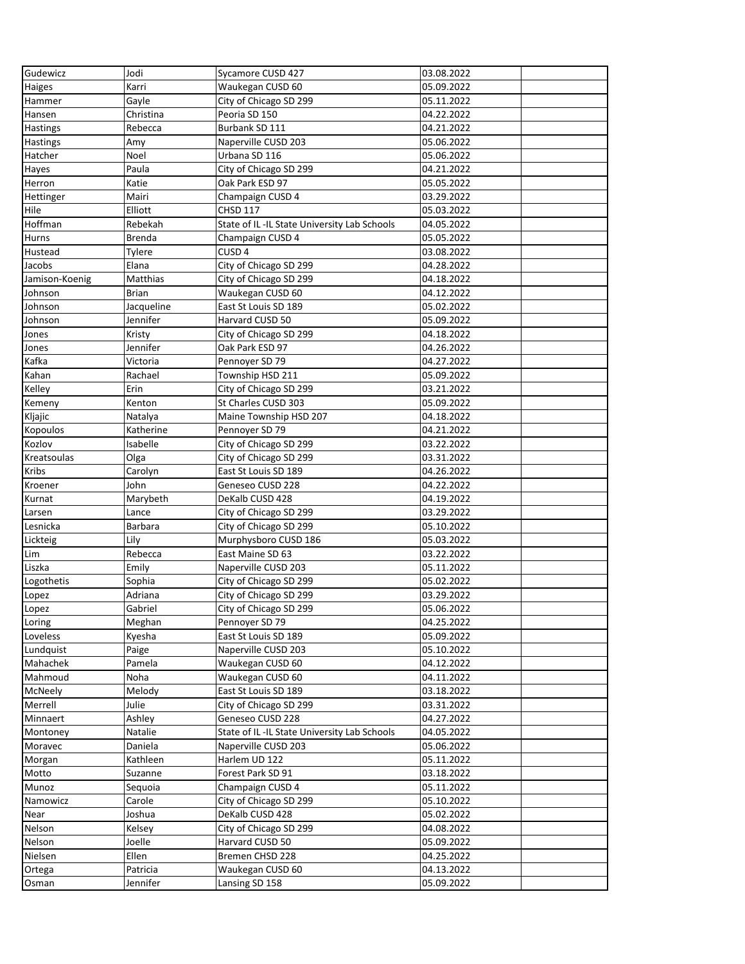| Gudewicz       | Jodi           | Sycamore CUSD 427                           | 03.08.2022 |
|----------------|----------------|---------------------------------------------|------------|
| Haiges         | Karri          | Waukegan CUSD 60                            | 05.09.2022 |
| Hammer         | Gayle          | City of Chicago SD 299                      | 05.11.2022 |
| Hansen         | Christina      | Peoria SD 150                               | 04.22.2022 |
| Hastings       | Rebecca        | Burbank SD 111                              | 04.21.2022 |
| Hastings       | Amy            | Naperville CUSD 203                         | 05.06.2022 |
| Hatcher        | Noel           | Urbana SD 116                               | 05.06.2022 |
| Hayes          | Paula          | City of Chicago SD 299                      | 04.21.2022 |
| Herron         | Katie          | Oak Park ESD 97                             | 05.05.2022 |
| Hettinger      | Mairi          | Champaign CUSD 4                            | 03.29.2022 |
| Hile           | Elliott        | CHSD 117                                    | 05.03.2022 |
| Hoffman        | Rebekah        | State of IL-IL State University Lab Schools | 04.05.2022 |
| Hurns          | <b>Brenda</b>  | Champaign CUSD 4                            | 05.05.2022 |
| Hustead        | Tylere         | CUSD <sub>4</sub>                           | 03.08.2022 |
| Jacobs         | Elana          | City of Chicago SD 299                      | 04.28.2022 |
| Jamison-Koenig | Matthias       | City of Chicago SD 299                      | 04.18.2022 |
| Johnson        | <b>Brian</b>   | Waukegan CUSD 60                            | 04.12.2022 |
| Johnson        | Jacqueline     | East St Louis SD 189                        | 05.02.2022 |
| Johnson        | Jennifer       | Harvard CUSD 50                             | 05.09.2022 |
| Jones          | Kristy         | City of Chicago SD 299                      | 04.18.2022 |
| Jones          | Jennifer       | Oak Park ESD 97                             | 04.26.2022 |
| Kafka          | Victoria       | Pennoyer SD 79                              | 04.27.2022 |
| Kahan          | Rachael        | Township HSD 211                            | 05.09.2022 |
| Kelley         | Erin           | City of Chicago SD 299                      | 03.21.2022 |
| Kemeny         | Kenton         | St Charles CUSD 303                         | 05.09.2022 |
| Kljajic        | Natalya        | Maine Township HSD 207                      | 04.18.2022 |
| Kopoulos       | Katherine      | Pennoyer SD 79                              | 04.21.2022 |
|                |                |                                             |            |
| Kozlov         | Isabelle       | City of Chicago SD 299                      | 03.22.2022 |
| Kreatsoulas    | Olga           | City of Chicago SD 299                      | 03.31.2022 |
| Kribs          | Carolyn        | East St Louis SD 189                        | 04.26.2022 |
| Kroener        | John           | Geneseo CUSD 228                            | 04.22.2022 |
| Kurnat         | Marybeth       | DeKalb CUSD 428                             | 04.19.2022 |
| Larsen         | Lance          | City of Chicago SD 299                      | 03.29.2022 |
| Lesnicka       | <b>Barbara</b> | City of Chicago SD 299                      | 05.10.2022 |
| Lickteig       | Lily           | Murphysboro CUSD 186                        | 05.03.2022 |
| Lim            | Rebecca        | East Maine SD 63                            | 03.22.2022 |
| Liszka         | Emily          | Naperville CUSD 203                         | 05.11.2022 |
| Logothetis     | Sophia         | City of Chicago SD 299                      | 05.02.2022 |
| Lopez          | Adriana        | City of Chicago SD 299                      | 03.29.2022 |
| Lopez          | Gabriel        | City of Chicago SD 299                      | 05.06.2022 |
| Loring         | Meghan         | Pennoyer SD 79                              | 04.25.2022 |
| Loveless       | Kyesha         | East St Louis SD 189                        | 05.09.2022 |
| Lundquist      | Paige          | Naperville CUSD 203                         | 05.10.2022 |
| Mahachek       | Pamela         | Waukegan CUSD 60                            | 04.12.2022 |
| Mahmoud        | Noha           | Waukegan CUSD 60                            | 04.11.2022 |
| McNeely        | Melody         | East St Louis SD 189                        | 03.18.2022 |
| Merrell        | Julie          | City of Chicago SD 299                      | 03.31.2022 |
| Minnaert       | Ashley         | Geneseo CUSD 228                            | 04.27.2022 |
| Montoney       | Natalie        | State of IL-IL State University Lab Schools | 04.05.2022 |
| Moravec        | Daniela        | Naperville CUSD 203                         | 05.06.2022 |
| Morgan         | Kathleen       | Harlem UD 122                               | 05.11.2022 |
| Motto          | Suzanne        | Forest Park SD 91                           | 03.18.2022 |
| Munoz          | Sequoia        | Champaign CUSD 4                            | 05.11.2022 |
| Namowicz       | Carole         | City of Chicago SD 299                      | 05.10.2022 |
| Near           | Joshua         | DeKalb CUSD 428                             | 05.02.2022 |
| Nelson         | Kelsey         | City of Chicago SD 299                      | 04.08.2022 |
| Nelson         | Joelle         | Harvard CUSD 50                             | 05.09.2022 |
| Nielsen        | Ellen          | Bremen CHSD 228                             | 04.25.2022 |
| Ortega         | Patricia       | Waukegan CUSD 60                            | 04.13.2022 |
| Osman          | Jennifer       | Lansing SD 158                              | 05.09.2022 |
|                |                |                                             |            |